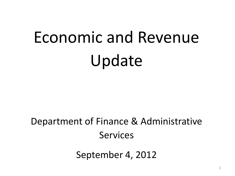# Economic and Revenue Update

# Department of Finance & Administrative Services

September 4, 2012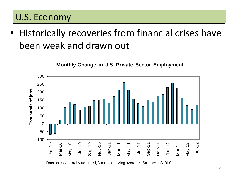• Historically recoveries from financial crises have been weak and drawn out

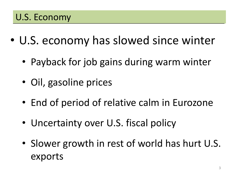- U.S. economy has slowed since winter
	- Payback for job gains during warm winter
	- Oil, gasoline prices
	- End of period of relative calm in Eurozone
	- Uncertainty over U.S. fiscal policy
	- Slower growth in rest of world has hurt U.S. exports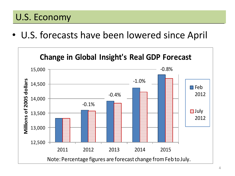• U.S. forecasts have been lowered since April

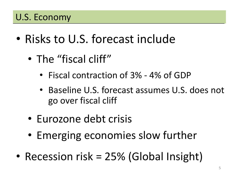- Risks to U.S. forecast include
	- The "fiscal cliff"
		- Fiscal contraction of 3% 4% of GDP
		- Baseline U.S. forecast assumes U.S. does not go over fiscal cliff
	- Eurozone debt crisis
	- Emerging economies slow further
- Recession risk = 25% (Global Insight)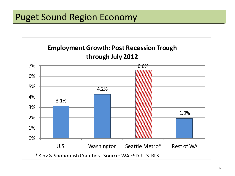### Puget Sound Region Economy

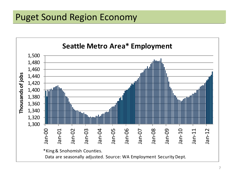#### Puget Sound Region Economy

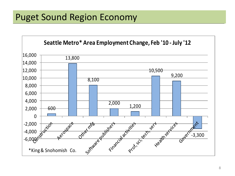#### Puget Sound Region Economy

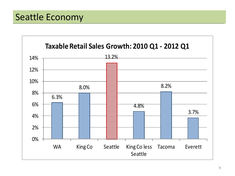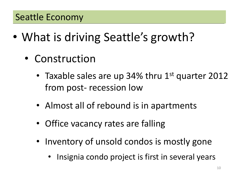- What is driving Seattle's growth?
	- Construction
		- Taxable sales are up  $34\%$  thru  $1<sup>st</sup>$  quarter 2012 from post- recession low
		- Almost all of rebound is in apartments
		- Office vacancy rates are falling
		- Inventory of unsold condos is mostly gone
			- Insignia condo project is first in several years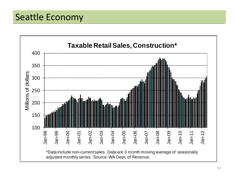#### Seattle Economy

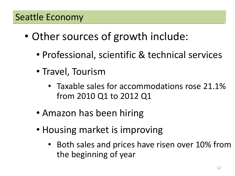- Other sources of growth include:
	- Professional, scientific & technical services
	- Travel, Tourism
		- Taxable sales for accommodations rose 21.1% from 2010 Q1 to 2012 Q1
	- Amazon has been hiring
	- Housing market is improving
		- Both sales and prices have risen over 10% from the beginning of year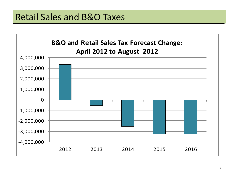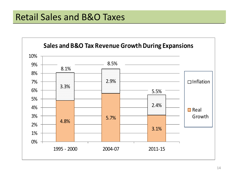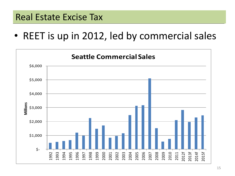#### Real Estate Excise Tax

• REET is up in 2012, led by commercial sales

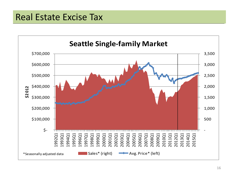#### Real Estate Excise Tax

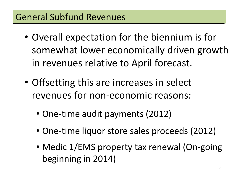## General Subfund Revenues

- Overall expectation for the biennium is for somewhat lower economically driven growth in revenues relative to April forecast.
- Offsetting this are increases in select revenues for non-economic reasons:
	- One-time audit payments (2012)
	- One-time liquor store sales proceeds (2012)
	- Medic 1/EMS property tax renewal (On-going beginning in 2014)